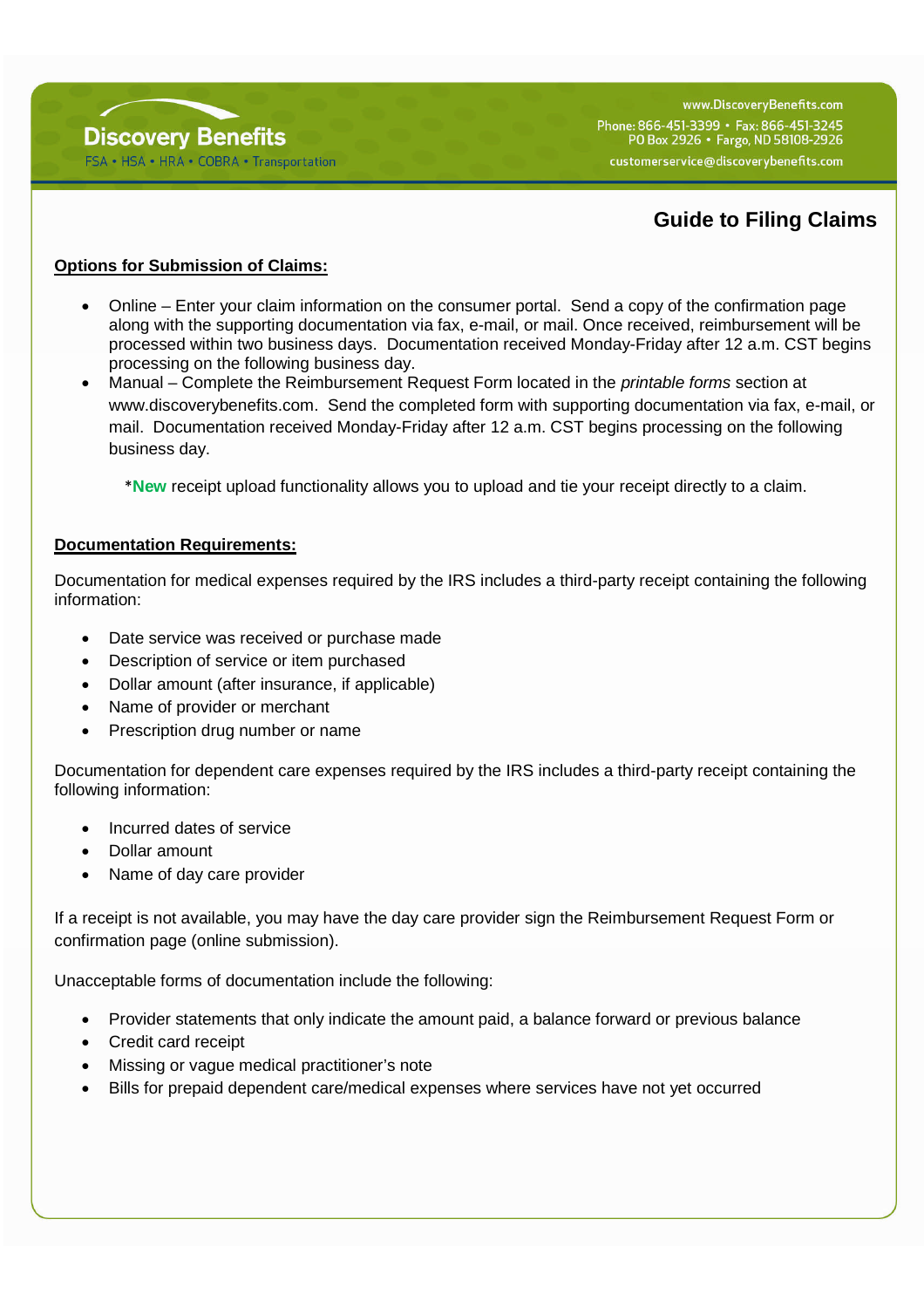

www.DiscovervBenefits.com Phone: 866-451-3399 · Fax: 866-451-3245 PO Box 2926 · Fargo, ND 58108-2926 customerservice@discoverybenefits.com

# **Guide to Filing Claims**

## **Options for Submission of Claims:**

- Online Enter your claim information on the consumer portal. Send a copy of the confirmation page along with the supporting documentation via fax, e-mail, or mail. Once received, reimbursement will be processed within two business days. Documentation received Monday-Friday after 12 a.m. CST begins processing on the following business day.
- Manual Complete the Reimbursement Request Form located in the *printable forms* section at www.discoverybenefits.com. Send the completed form with supporting documentation via fax, e-mail, or mail. Documentation received Monday-Friday after 12 a.m. CST begins processing on the following business day.

\***New** receipt upload functionality allows you to upload and tie your receipt directly to a claim.

#### **Documentation Requirements:**

Documentation for medical expenses required by the IRS includes a third-party receipt containing the following information:

- Date service was received or purchase made
- Description of service or item purchased
- Dollar amount (after insurance, if applicable)
- Name of provider or merchant
- Prescription drug number or name

Documentation for dependent care expenses required by the IRS includes a third-party receipt containing the following information:

- Incurred dates of service
- Dollar amount
- Name of day care provider

If a receipt is not available, you may have the day care provider sign the Reimbursement Request Form or confirmation page (online submission).

Unacceptable forms of documentation include the following:

- Provider statements that only indicate the amount paid, a balance forward or previous balance
- Credit card receipt
- Missing or vague medical practitioner's note
- Bills for prepaid dependent care/medical expenses where services have not yet occurred